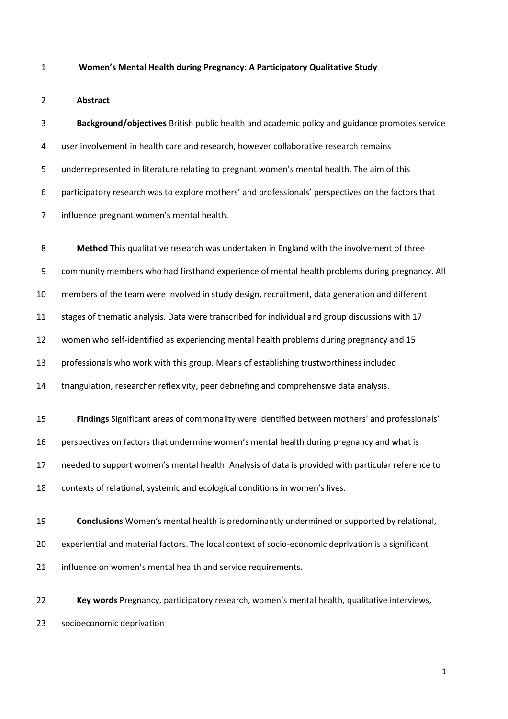#### **Women's Mental Health during Pregnancy: A Participatory Qualitative Study**

## **Abstract**

 **Background/objectives** British public health and academic policy and guidance promotes service user involvement in health care and research, however collaborative research remains underrepresented in literature relating to pregnant women's mental health. The aim of this participatory research was to explore mothers' and professionals' perspectives on the factors that influence pregnant women's mental health.

 **Method** This qualitative research was undertaken in England with the involvement of three community members who had firsthand experience of mental health problems during pregnancy. All members of the team were involved in study design, recruitment, data generation and different stages of thematic analysis. Data were transcribed for individual and group discussions with 17 women who self-identified as experiencing mental health problems during pregnancy and 15 professionals who work with this group. Means of establishing trustworthiness included triangulation, researcher reflexivity, peer debriefing and comprehensive data analysis. **Findings** Significant areas of commonality were identified between mothers' and professionals' perspectives on factors that undermine women's mental health during pregnancy and what is needed to support women's mental health. Analysis of data is provided with particular reference to contexts of relational, systemic and ecological conditions in women's lives. **Conclusions** Women's mental health is predominantly undermined or supported by relational,

21 influence on women's mental health and service requirements.

 **Key words** Pregnancy, participatory research, women's mental health, qualitative interviews, socioeconomic deprivation

experiential and material factors. The local context of socio-economic deprivation is a significant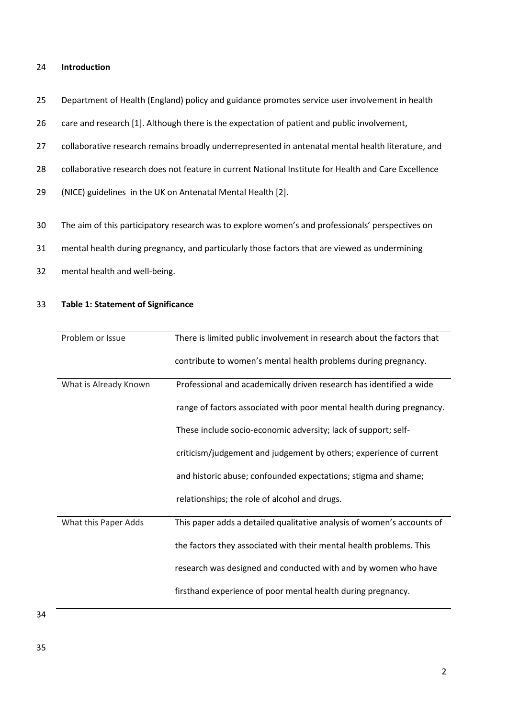### 24 **Introduction**

- 25 Department of Health (England) policy and guidance promotes service user involvement in health
- 26 care and research [1]. Although there is the expectation of patient and public involvement,
- 27 collaborative research remains broadly underrepresented in antenatal mental health literature, and
- 28 collaborative research does not feature in current National Institute for Health and Care Excellence
- 29 (NICE) guidelines in the UK on Antenatal Mental Health [2].
- 30 The aim of this participatory research was to explore women's and professionals' perspectives on
- 31 mental health during pregnancy, and particularly those factors that are viewed as undermining
- 32 mental health and well-being.

## 33 **Table 1: Statement of Significance**

| Problem or Issue      | There is limited public involvement in research about the factors that |
|-----------------------|------------------------------------------------------------------------|
|                       | contribute to women's mental health problems during pregnancy.         |
| What is Already Known | Professional and academically driven research has identified a wide    |
|                       | range of factors associated with poor mental health during pregnancy.  |
|                       | These include socio-economic adversity; lack of support; self-         |
|                       | criticism/judgement and judgement by others; experience of current     |
|                       | and historic abuse; confounded expectations; stigma and shame;         |
|                       | relationships; the role of alcohol and drugs.                          |
| What this Paper Adds  | This paper adds a detailed qualitative analysis of women's accounts of |
|                       | the factors they associated with their mental health problems. This    |
|                       | research was designed and conducted with and by women who have         |
|                       | firsthand experience of poor mental health during pregnancy.           |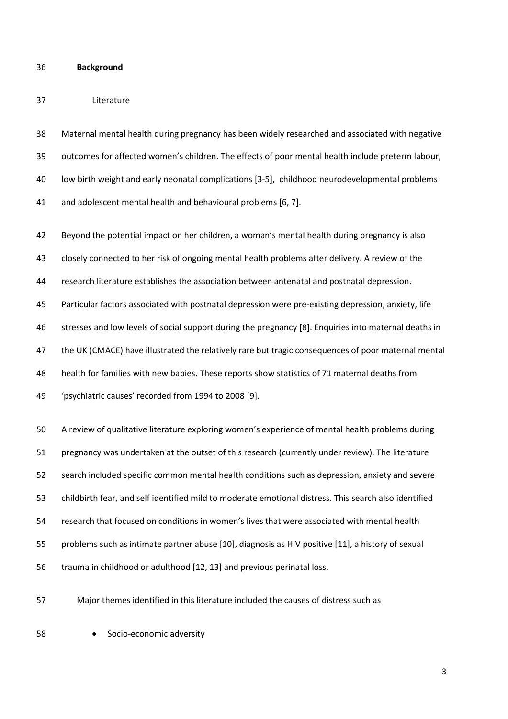#### **Background**

### Literature

 Maternal mental health during pregnancy has been widely researched and associated with negative outcomes for affected women's children. The effects of poor mental health include preterm labour, low birth weight and early neonatal complications [3-5], childhood neurodevelopmental problems and adolescent mental health and behavioural problems [6, 7].

 Beyond the potential impact on her children, a woman's mental health during pregnancy is also closely connected to her risk of ongoing mental health problems after delivery. A review of the research literature establishes the association between antenatal and postnatal depression. Particular factors associated with postnatal depression were pre-existing depression, anxiety, life stresses and low levels of social support during the pregnancy [8]. Enquiries into maternal deaths in the UK (CMACE) have illustrated the relatively rare but tragic consequences of poor maternal mental health for families with new babies. These reports show statistics of 71 maternal deaths from 'psychiatric causes' recorded from 1994 to 2008 [9].

 A review of qualitative literature exploring women's experience of mental health problems during pregnancy was undertaken at the outset of this research (currently under review). The literature search included specific common mental health conditions such as depression, anxiety and severe childbirth fear, and self identified mild to moderate emotional distress. This search also identified research that focused on conditions in women's lives that were associated with mental health problems such as intimate partner abuse [10], diagnosis as HIV positive [11], a history of sexual trauma in childhood or adulthood [12, 13] and previous perinatal loss.

Major themes identified in this literature included the causes of distress such as

**•** Socio-economic adversity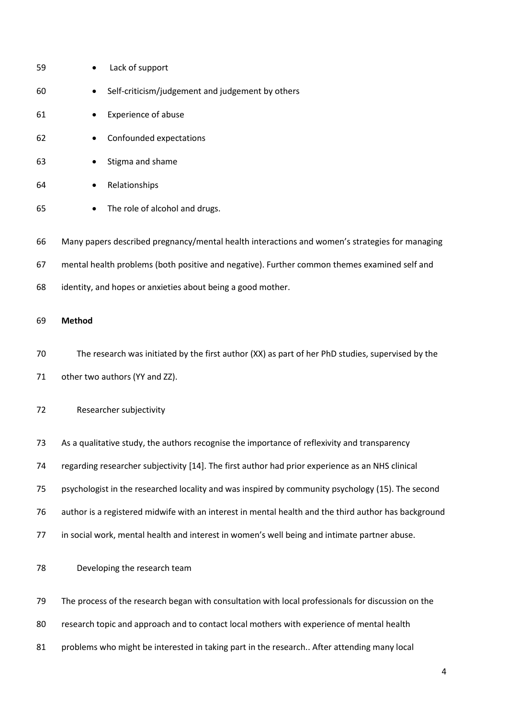| 59 | Lack of support                                                                                      |
|----|------------------------------------------------------------------------------------------------------|
| 60 | Self-criticism/judgement and judgement by others                                                     |
| 61 | Experience of abuse                                                                                  |
| 62 | Confounded expectations                                                                              |
| 63 | Stigma and shame                                                                                     |
| 64 | Relationships                                                                                        |
| 65 | The role of alcohol and drugs.                                                                       |
| 66 | Many papers described pregnancy/mental health interactions and women's strategies for managing       |
| 67 | mental health problems (both positive and negative). Further common themes examined self and         |
| 68 | identity, and hopes or anxieties about being a good mother.                                          |
| 69 | <b>Method</b>                                                                                        |
| 70 | The research was initiated by the first author (XX) as part of her PhD studies, supervised by the    |
| 71 | other two authors (YY and ZZ).                                                                       |
| 72 | Researcher subjectivity                                                                              |
| 73 | As a qualitative study, the authors recognise the importance of reflexivity and transparency         |
| 74 | regarding researcher subjectivity [14]. The first author had prior experience as an NHS clinical     |
| 75 | psychologist in the researched locality and was inspired by community psychology (15). The second    |
| 76 | author is a registered midwife with an interest in mental health and the third author has background |
| 77 | in social work, mental health and interest in women's well being and intimate partner abuse.         |
| 78 | Developing the research team                                                                         |
| 79 | The process of the research began with consultation with local professionals for discussion on the   |
| 80 | research topic and approach and to contact local mothers with experience of mental health            |
| 81 | problems who might be interested in taking part in the research After attending many local           |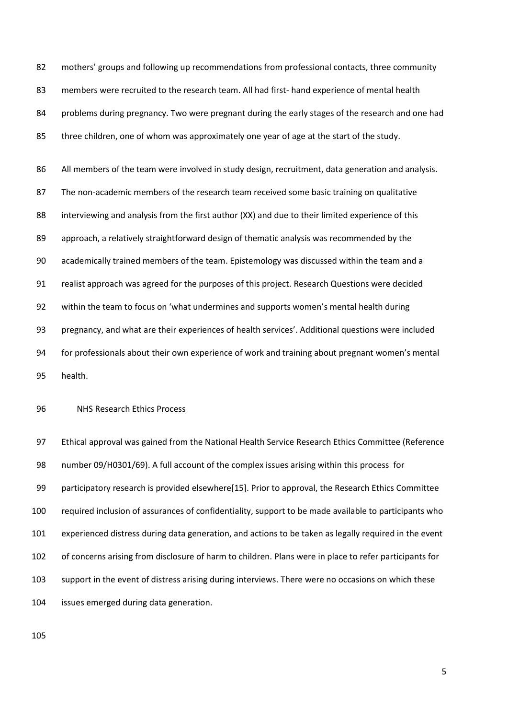82 mothers' groups and following up recommendations from professional contacts, three community members were recruited to the research team. All had first- hand experience of mental health problems during pregnancy. Two were pregnant during the early stages of the research and one had three children, one of whom was approximately one year of age at the start of the study.

86 All members of the team were involved in study design, recruitment, data generation and analysis. The non-academic members of the research team received some basic training on qualitative 88 interviewing and analysis from the first author (XX) and due to their limited experience of this approach, a relatively straightforward design of thematic analysis was recommended by the academically trained members of the team. Epistemology was discussed within the team and a realist approach was agreed for the purposes of this project. Research Questions were decided within the team to focus on 'what undermines and supports women's mental health during pregnancy, and what are their experiences of health services'. Additional questions were included for professionals about their own experience of work and training about pregnant women's mental health.

# NHS Research Ethics Process

 Ethical approval was gained from the National Health Service Research Ethics Committee (Reference number 09/H0301/69). A full account of the complex issues arising within this process for participatory research is provided elsewhere[15]. Prior to approval, the Research Ethics Committee required inclusion of assurances of confidentiality, support to be made available to participants who experienced distress during data generation, and actions to be taken as legally required in the event of concerns arising from disclosure of harm to children. Plans were in place to refer participants for support in the event of distress arising during interviews. There were no occasions on which these issues emerged during data generation.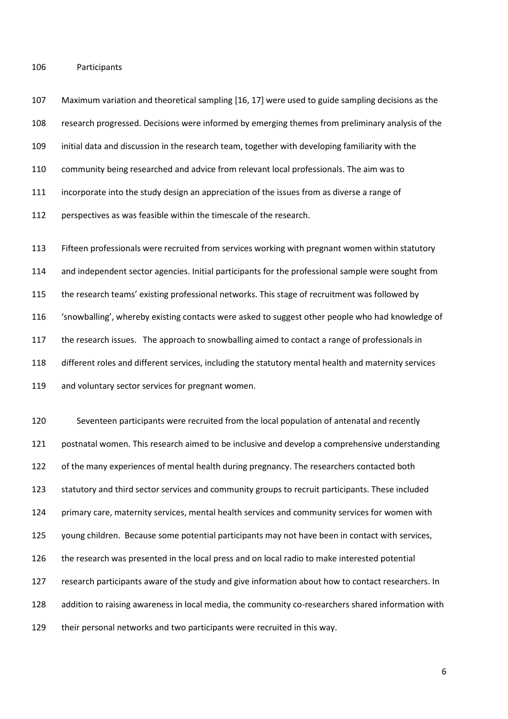Participants

 Maximum variation and theoretical sampling [16, 17] were used to guide sampling decisions as the research progressed. Decisions were informed by emerging themes from preliminary analysis of the initial data and discussion in the research team, together with developing familiarity with the community being researched and advice from relevant local professionals. The aim was to incorporate into the study design an appreciation of the issues from as diverse a range of perspectives as was feasible within the timescale of the research.

 Fifteen professionals were recruited from services working with pregnant women within statutory and independent sector agencies. Initial participants for the professional sample were sought from the research teams' existing professional networks. This stage of recruitment was followed by 'snowballing', whereby existing contacts were asked to suggest other people who had knowledge of the research issues. The approach to snowballing aimed to contact a range of professionals in different roles and different services, including the statutory mental health and maternity services 119 and voluntary sector services for pregnant women.

 Seventeen participants were recruited from the local population of antenatal and recently postnatal women. This research aimed to be inclusive and develop a comprehensive understanding of the many experiences of mental health during pregnancy. The researchers contacted both statutory and third sector services and community groups to recruit participants. These included primary care, maternity services, mental health services and community services for women with young children. Because some potential participants may not have been in contact with services, the research was presented in the local press and on local radio to make interested potential research participants aware of the study and give information about how to contact researchers. In addition to raising awareness in local media, the community co-researchers shared information with their personal networks and two participants were recruited in this way.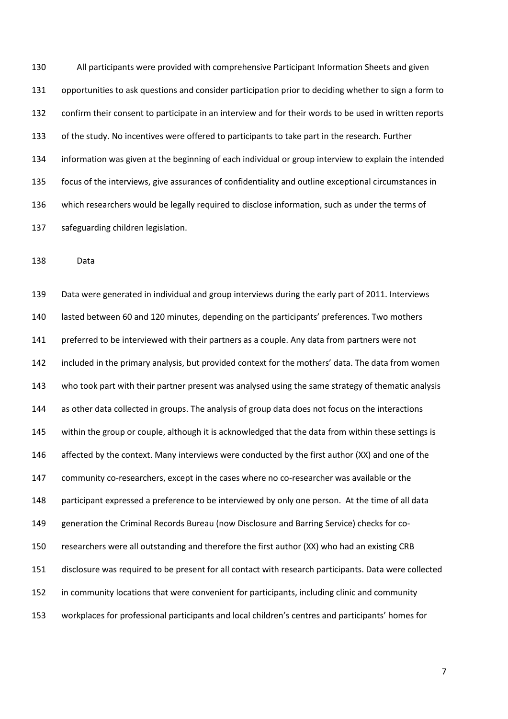All participants were provided with comprehensive Participant Information Sheets and given opportunities to ask questions and consider participation prior to deciding whether to sign a form to confirm their consent to participate in an interview and for their words to be used in written reports of the study. No incentives were offered to participants to take part in the research. Further information was given at the beginning of each individual or group interview to explain the intended focus of the interviews, give assurances of confidentiality and outline exceptional circumstances in which researchers would be legally required to disclose information, such as under the terms of safeguarding children legislation.

Data

 Data were generated in individual and group interviews during the early part of 2011. Interviews lasted between 60 and 120 minutes, depending on the participants' preferences. Two mothers 141 preferred to be interviewed with their partners as a couple. Any data from partners were not included in the primary analysis, but provided context for the mothers' data. The data from women who took part with their partner present was analysed using the same strategy of thematic analysis as other data collected in groups. The analysis of group data does not focus on the interactions within the group or couple, although it is acknowledged that the data from within these settings is 146 affected by the context. Many interviews were conducted by the first author (XX) and one of the community co-researchers, except in the cases where no co-researcher was available or the participant expressed a preference to be interviewed by only one person. At the time of all data generation the Criminal Records Bureau (now Disclosure and Barring Service) checks for co- researchers were all outstanding and therefore the first author (XX) who had an existing CRB disclosure was required to be present for all contact with research participants. Data were collected 152 in community locations that were convenient for participants, including clinic and community workplaces for professional participants and local children's centres and participants' homes for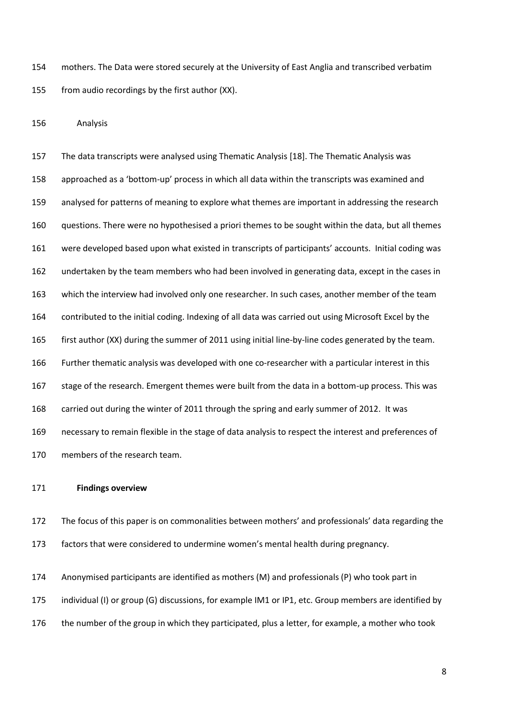mothers. The Data were stored securely at the University of East Anglia and transcribed verbatim from audio recordings by the first author (XX).

Analysis

 The data transcripts were analysed using Thematic Analysis [18]. The Thematic Analysis was approached as a 'bottom-up' process in which all data within the transcripts was examined and analysed for patterns of meaning to explore what themes are important in addressing the research questions. There were no hypothesised a priori themes to be sought within the data, but all themes were developed based upon what existed in transcripts of participants' accounts. Initial coding was undertaken by the team members who had been involved in generating data, except in the cases in which the interview had involved only one researcher. In such cases, another member of the team contributed to the initial coding. Indexing of all data was carried out using Microsoft Excel by the first author (XX) during the summer of 2011 using initial line-by-line codes generated by the team. Further thematic analysis was developed with one co-researcher with a particular interest in this stage of the research. Emergent themes were built from the data in a bottom-up process. This was carried out during the winter of 2011 through the spring and early summer of 2012. It was necessary to remain flexible in the stage of data analysis to respect the interest and preferences of members of the research team.

#### **Findings overview**

 The focus of this paper is on commonalities between mothers' and professionals' data regarding the factors that were considered to undermine women's mental health during pregnancy.

 Anonymised participants are identified as mothers (M) and professionals (P) who took part in individual (I) or group (G) discussions, for example IM1 or IP1, etc. Group members are identified by the number of the group in which they participated, plus a letter, for example, a mother who took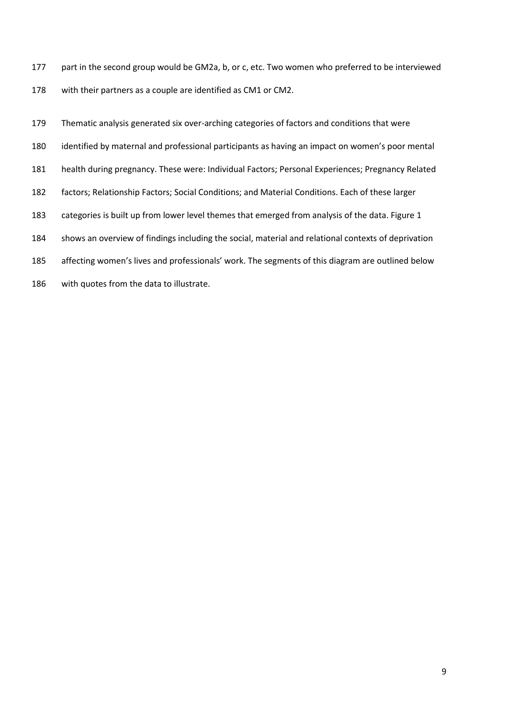177 part in the second group would be GM2a, b, or c, etc. Two women who preferred to be interviewed with their partners as a couple are identified as CM1 or CM2.

 Thematic analysis generated six over-arching categories of factors and conditions that were identified by maternal and professional participants as having an impact on women's poor mental health during pregnancy. These were: Individual Factors; Personal Experiences; Pregnancy Related factors; Relationship Factors; Social Conditions; and Material Conditions. Each of these larger categories is built up from lower level themes that emerged from analysis of the data. Figure 1 shows an overview of findings including the social, material and relational contexts of deprivation affecting women's lives and professionals' work. The segments of this diagram are outlined below

with quotes from the data to illustrate.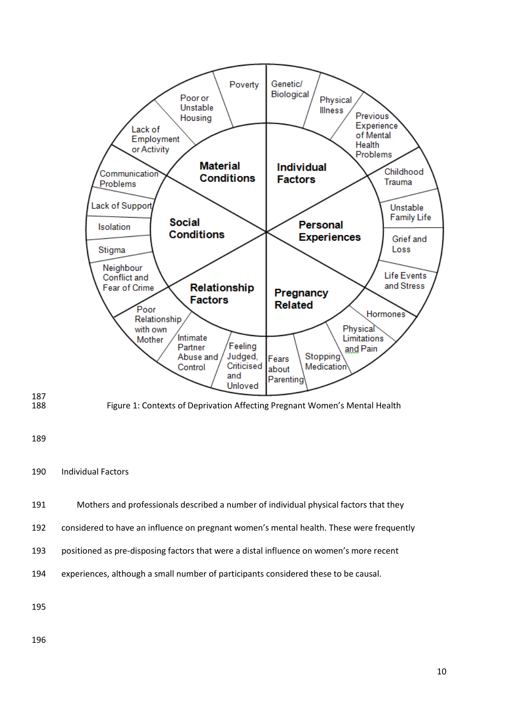

# Individual Factors

- Mothers and professionals described a number of individual physical factors that they
- considered to have an influence on pregnant women's mental health. These were frequently
- positioned as pre-disposing factors that were a distal influence on women's more recent
- experiences, although a small number of participants considered these to be causal.

187<br>188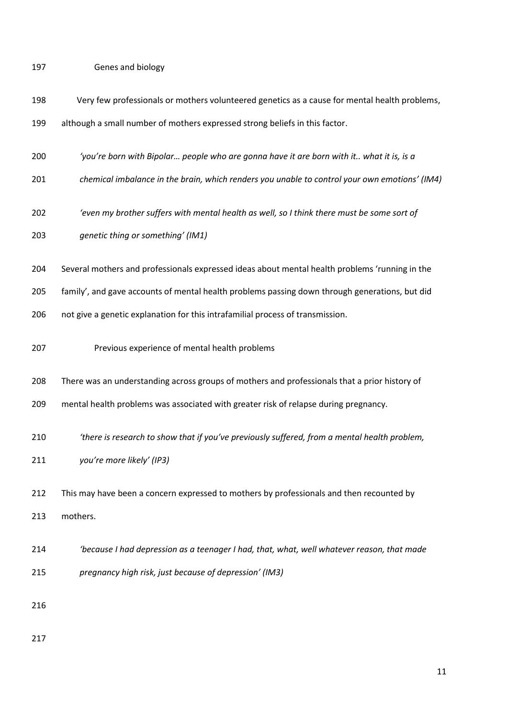Genes and biology

| 198 | Very few professionals or mothers volunteered genetics as a cause for mental health problems,  |
|-----|------------------------------------------------------------------------------------------------|
| 199 | although a small number of mothers expressed strong beliefs in this factor.                    |
| 200 | 'you're born with Bipolar people who are gonna have it are born with it what it is, is a       |
| 201 | chemical imbalance in the brain, which renders you unable to control your own emotions' (IM4)  |
| 202 | 'even my brother suffers with mental health as well, so I think there must be some sort of     |
| 203 | genetic thing or something' (IM1)                                                              |
| 204 | Several mothers and professionals expressed ideas about mental health problems 'running in the |
| 205 | family', and gave accounts of mental health problems passing down through generations, but did |
| 206 | not give a genetic explanation for this intrafamilial process of transmission.                 |
| 207 | Previous experience of mental health problems                                                  |
| 208 | There was an understanding across groups of mothers and professionals that a prior history of  |
| 209 | mental health problems was associated with greater risk of relapse during pregnancy.           |
| 210 | 'there is research to show that if you've previously suffered, from a mental health problem,   |
| 211 | you're more likely' (IP3)                                                                      |
| 212 | This may have been a concern expressed to mothers by professionals and then recounted by       |
| 213 | mothers.                                                                                       |
| 214 | 'because I had depression as a teenager I had, that, what, well whatever reason, that made     |
| 215 | pregnancy high risk, just because of depression' (IM3)                                         |
| 216 |                                                                                                |
| 217 |                                                                                                |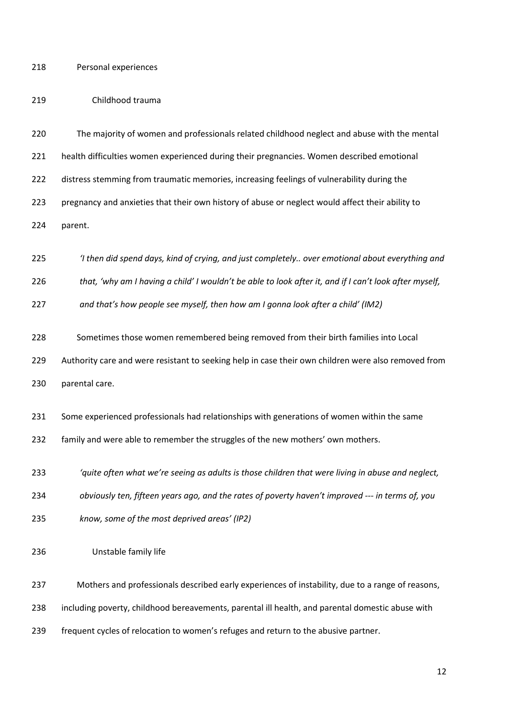Personal experiences

## Childhood trauma

 The majority of women and professionals related childhood neglect and abuse with the mental health difficulties women experienced during their pregnancies. Women described emotional 222 distress stemming from traumatic memories, increasing feelings of vulnerability during the pregnancy and anxieties that their own history of abuse or neglect would affect their ability to parent.

*'I then did spend days, kind of crying, and just completely.. over emotional about everything and* 

*that, 'why am I having a child' I wouldn't be able to look after it, and if I can't look after myself,* 

*and that's how people see myself, then how am I gonna look after a child' (IM2)*

Sometimes those women remembered being removed from their birth families into Local

Authority care and were resistant to seeking help in case their own children were also removed from

parental care.

Some experienced professionals had relationships with generations of women within the same

family and were able to remember the struggles of the new mothers' own mothers.

*'quite often what we're seeing as adults is those children that were living in abuse and neglect,* 

*obviously ten, fifteen years ago, and the rates of poverty haven't improved --- in terms of, you* 

- *know, some of the most deprived areas' (IP2)*
- Unstable family life

Mothers and professionals described early experiences of instability, due to a range of reasons,

including poverty, childhood bereavements, parental ill health, and parental domestic abuse with

frequent cycles of relocation to women's refuges and return to the abusive partner.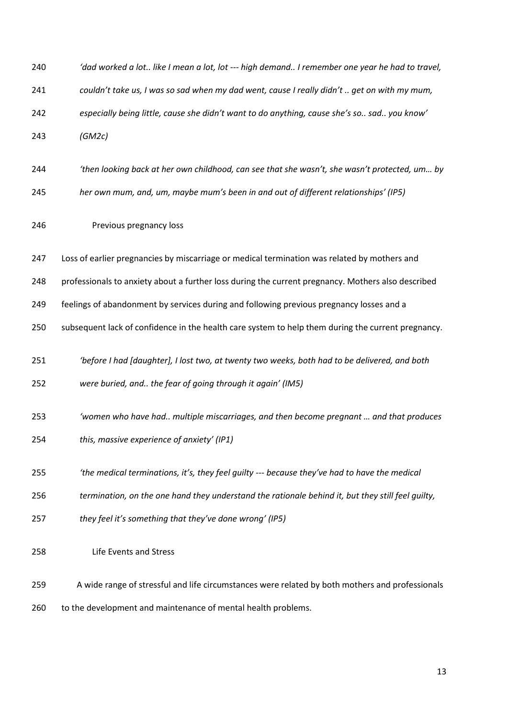| 240 | 'dad worked a lot like I mean a lot, lot --- high demand I remember one year he had to travel,     |
|-----|----------------------------------------------------------------------------------------------------|
| 241 | couldn't take us, I was so sad when my dad went, cause I really didn't  get on with my mum,        |
| 242 | especially being little, cause she didn't want to do anything, cause she's so sad you know'        |
| 243 | (GM2c)                                                                                             |
| 244 | 'then looking back at her own childhood, can see that she wasn't, she wasn't protected, um by      |
| 245 | her own mum, and, um, maybe mum's been in and out of different relationships' (IP5)                |
| 246 | Previous pregnancy loss                                                                            |
| 247 | Loss of earlier pregnancies by miscarriage or medical termination was related by mothers and       |
| 248 | professionals to anxiety about a further loss during the current pregnancy. Mothers also described |
| 249 | feelings of abandonment by services during and following previous pregnancy losses and a           |
| 250 | subsequent lack of confidence in the health care system to help them during the current pregnancy. |
| 251 | 'before I had [daughter], I lost two, at twenty two weeks, both had to be delivered, and both      |
| 252 | were buried, and the fear of going through it again' (IM5)                                         |
| 253 | 'women who have had multiple miscarriages, and then become pregnant  and that produces             |
| 254 | this, massive experience of anxiety' (IP1)                                                         |
| 255 | 'the medical terminations, it's, they feel guilty --- because they've had to have the medical      |
| 256 | termination, on the one hand they understand the rationale behind it, but they still feel quilty,  |
| 257 | they feel it's something that they've done wrong' (IP5)                                            |
| 258 | Life Events and Stress                                                                             |
| 259 | A wide range of stressful and life circumstances were related by both mothers and professionals    |
| 260 | to the development and maintenance of mental health problems.                                      |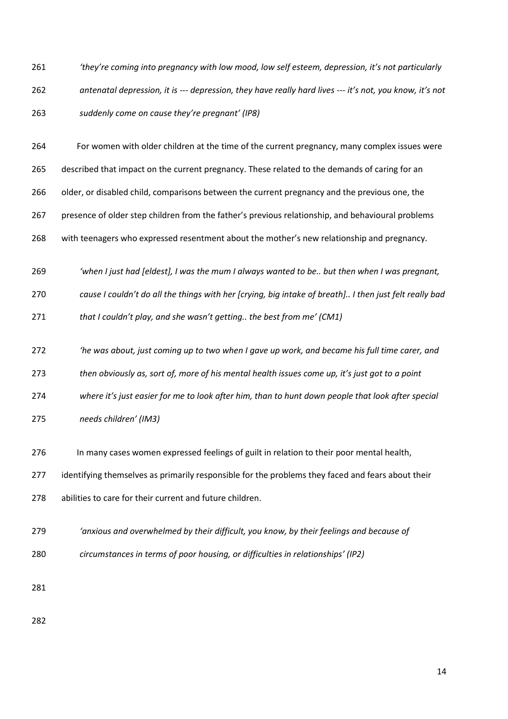*'they're coming into pregnancy with low mood, low self esteem, depression, it's not particularly antenatal depression, it is --- depression, they have really hard lives --- it's not, you know, it's not suddenly come on cause they're pregnant' (IP8)*

 For women with older children at the time of the current pregnancy, many complex issues were described that impact on the current pregnancy. These related to the demands of caring for an 266 older, or disabled child, comparisons between the current pregnancy and the previous one, the presence of older step children from the father's previous relationship, and behavioural problems with teenagers who expressed resentment about the mother's new relationship and pregnancy.

*'when I just had [eldest], I was the mum I always wanted to be.. but then when I was pregnant,* 

*cause I couldn't do all the things with her [crying, big intake of breath].. I then just felt really bad* 

*that I couldn't play, and she wasn't getting.. the best from me' (CM1)*

*'he was about, just coming up to two when I gave up work, and became his full time carer, and* 

*then obviously as, sort of, more of his mental health issues come up, it's just got to a point* 

*where it's just easier for me to look after him, than to hunt down people that look after special* 

*needs children' (IM3)*

In many cases women expressed feelings of guilt in relation to their poor mental health,

277 identifying themselves as primarily responsible for the problems they faced and fears about their

abilities to care for their current and future children.

*'anxious and overwhelmed by their difficult, you know, by their feelings and because of* 

*circumstances in terms of poor housing, or difficulties in relationships' (IP2)*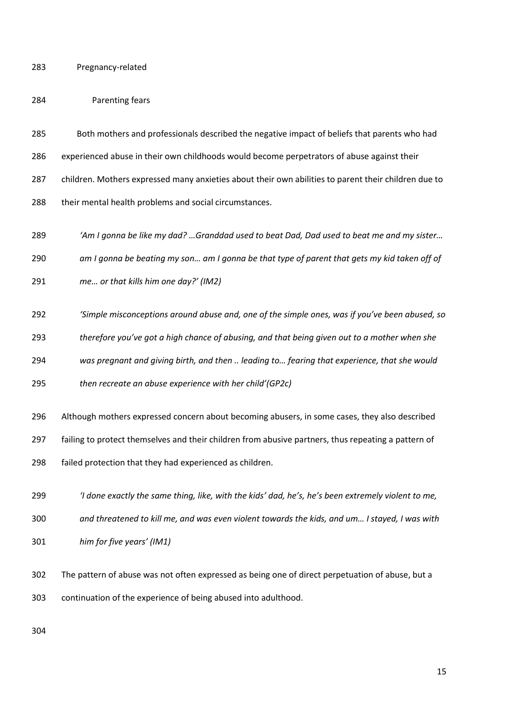Pregnancy-related

## Parenting fears

- Both mothers and professionals described the negative impact of beliefs that parents who had experienced abuse in their own childhoods would become perpetrators of abuse against their children. Mothers expressed many anxieties about their own abilities to parent their children due to 288 their mental health problems and social circumstances.
- *'Am I gonna be like my dad? …Granddad used to beat Dad, Dad used to beat me and my sister…*
- *am I gonna be beating my son… am I gonna be that type of parent that gets my kid taken off of*
- *me… or that kills him one day?' (IM2)*
- *'Simple misconceptions around abuse and, one of the simple ones, was if you've been abused, so*
- *therefore you've got a high chance of abusing, and that being given out to a mother when she*
- *was pregnant and giving birth, and then .. leading to… fearing that experience, that she would*
- *then recreate an abuse experience with her child'(GP2c)*
- Although mothers expressed concern about becoming abusers, in some cases, they also described failing to protect themselves and their children from abusive partners, thus repeating a pattern of failed protection that they had experienced as children.
- *'I done exactly the same thing, like, with the kids' dad, he's, he's been extremely violent to me, and threatened to kill me, and was even violent towards the kids, and um… I stayed, I was with*
- *him for five years' (IM1)*
- The pattern of abuse was not often expressed as being one of direct perpetuation of abuse, but a continuation of the experience of being abused into adulthood.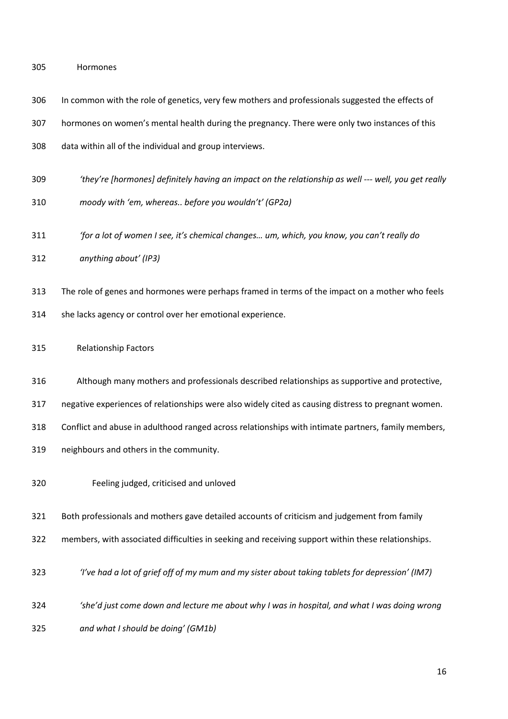| 305 | Hormones |
|-----|----------|
|     |          |

| 306 | In common with the role of genetics, very few mothers and professionals suggested the effects of     |
|-----|------------------------------------------------------------------------------------------------------|
| 307 | hormones on women's mental health during the pregnancy. There were only two instances of this        |
| 308 | data within all of the individual and group interviews.                                              |
| 309 | 'they're [hormones] definitely having an impact on the relationship as well --- well, you get really |
| 310 | moody with 'em, whereas before you wouldn't' (GP2a)                                                  |
| 311 | 'for a lot of women I see, it's chemical changes um, which, you know, you can't really do            |
| 312 | anything about' (IP3)                                                                                |
| 313 | The role of genes and hormones were perhaps framed in terms of the impact on a mother who feels      |
| 314 | she lacks agency or control over her emotional experience.                                           |
| 315 | <b>Relationship Factors</b>                                                                          |
| 316 | Although many mothers and professionals described relationships as supportive and protective,        |
| 317 | negative experiences of relationships were also widely cited as causing distress to pregnant women.  |
| 318 | Conflict and abuse in adulthood ranged across relationships with intimate partners, family members,  |
| 319 | neighbours and others in the community.                                                              |
| 320 | Feeling judged, criticised and unloved                                                               |
| 321 | Both professionals and mothers gave detailed accounts of criticism and judgement from family         |
| 322 | members, with associated difficulties in seeking and receiving support within these relationships.   |
| 323 | 'I've had a lot of grief off of my mum and my sister about taking tablets for depression' (IM7)      |
| 324 | 'she'd just come down and lecture me about why I was in hospital, and what I was doing wrong         |
| 325 | and what I should be doing' (GM1b)                                                                   |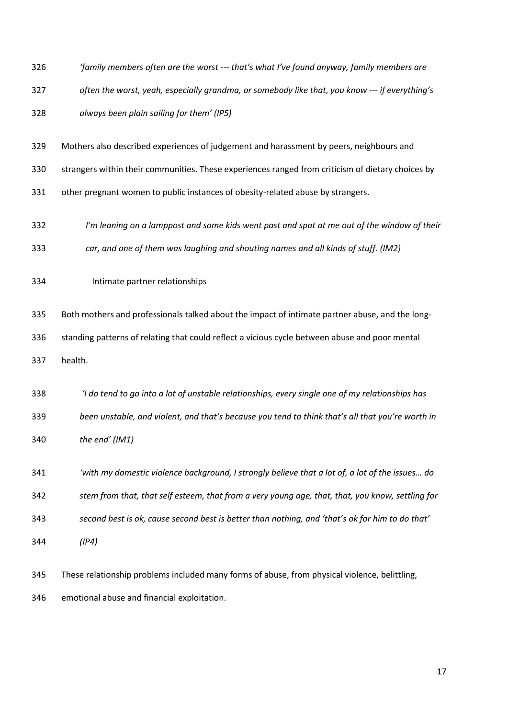- *'family members often are the worst --- that's what I've found anyway, family members are often the worst, yeah, especially grandma, or somebody like that, you know --- if everything's always been plain sailing for them' (IP5)*
- Mothers also described experiences of judgement and harassment by peers, neighbours and
- strangers within their communities. These experiences ranged from criticism of dietary choices by
- other pregnant women to public instances of obesity-related abuse by strangers.
- *I'm leaning on a lamppost and some kids went past and spat at me out of the window of their*
- *car, and one of them was laughing and shouting names and all kinds of stuff. (IM2)*
- Intimate partner relationships

 Both mothers and professionals talked about the impact of intimate partner abuse, and the long- standing patterns of relating that could reflect a vicious cycle between abuse and poor mental health.

 *'I do tend to go into a lot of unstable relationships, every single one of my relationships has been unstable, and violent, and that's because you tend to think that's all that you're worth in the end' (IM1)*

 *'with my domestic violence background, I strongly believe that a lot of, a lot of the issues… do stem from that, that self esteem, that from a very young age, that, that, you know, settling for second best is ok, cause second best is better than nothing, and 'that's ok for him to do that' (IP4)*

 These relationship problems included many forms of abuse, from physical violence, belittling, emotional abuse and financial exploitation.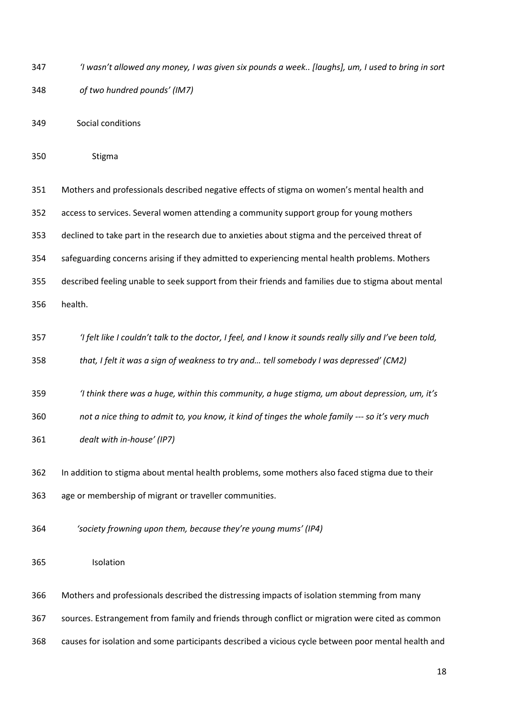- *'I wasn't allowed any money, I was given six pounds a week.. [laughs], um, I used to bring in sort of two hundred pounds' (IM7)*
- Social conditions
- Stigma

 Mothers and professionals described negative effects of stigma on women's mental health and access to services. Several women attending a community support group for young mothers declined to take part in the research due to anxieties about stigma and the perceived threat of safeguarding concerns arising if they admitted to experiencing mental health problems. Mothers described feeling unable to seek support from their friends and families due to stigma about mental health.

*'I felt like I couldn't talk to the doctor, I feel, and I know it sounds really silly and I've been told,* 

*that, I felt it was a sign of weakness to try and… tell somebody I was depressed' (CM2)*

*'I think there was a huge, within this community, a huge stigma, um about depression, um, it's* 

*not a nice thing to admit to, you know, it kind of tinges the whole family --- so it's very much* 

- *dealt with in-house' (IP7)*
- In addition to stigma about mental health problems, some mothers also faced stigma due to their age or membership of migrant or traveller communities.
- *'society frowning upon them, because they're young mums' (IP4)*
- Isolation
- Mothers and professionals described the distressing impacts of isolation stemming from many
- sources. Estrangement from family and friends through conflict or migration were cited as common
- causes for isolation and some participants described a vicious cycle between poor mental health and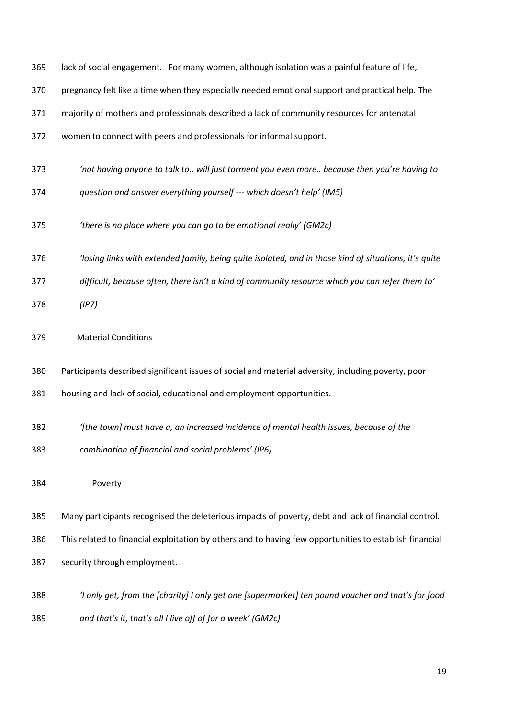| 369 | lack of social engagement. For many women, although isolation was a painful feature of life,            |
|-----|---------------------------------------------------------------------------------------------------------|
| 370 | pregnancy felt like a time when they especially needed emotional support and practical help. The        |
| 371 | majority of mothers and professionals described a lack of community resources for antenatal             |
| 372 | women to connect with peers and professionals for informal support.                                     |
| 373 | 'not having anyone to talk to will just torment you even more because then you're having to             |
| 374 | question and answer everything yourself --- which doesn't help' (IM5)                                   |
| 375 | 'there is no place where you can go to be emotional really' (GM2c)                                      |
| 376 | 'losing links with extended family, being quite isolated, and in those kind of situations, it's quite   |
| 377 | difficult, because often, there isn't a kind of community resource which you can refer them to'         |
| 378 | (IPZ)                                                                                                   |
| 379 | <b>Material Conditions</b>                                                                              |
| 380 | Participants described significant issues of social and material adversity, including poverty, poor     |
| 381 | housing and lack of social, educational and employment opportunities.                                   |
| 382 | (the town] must have a, an increased incidence of mental health issues, because of the                  |
| 383 | combination of financial and social problems' (IP6)                                                     |
| 384 | Poverty                                                                                                 |
| 385 | Many participants recognised the deleterious impacts of poverty, debt and lack of financial control.    |
| 386 | This related to financial exploitation by others and to having few opportunities to establish financial |
| 387 | security through employment.                                                                            |
| 388 | 'I only get, from the [charity] I only get one [supermarket] ten pound voucher and that's for food      |
| 389 | and that's it, that's all I live off of for a week' (GM2c)                                              |
|     |                                                                                                         |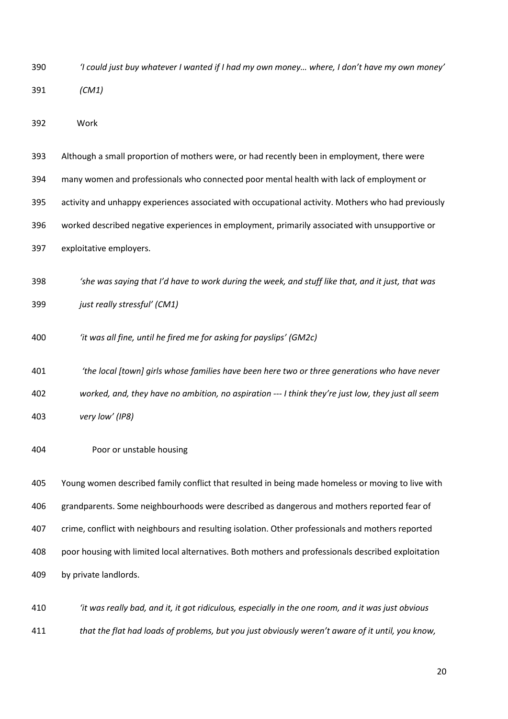| 390 | 'I could just buy whatever I wanted if I had my own money where, I don't have my own money' |
|-----|---------------------------------------------------------------------------------------------|
| 391 | (CM1)                                                                                       |

Work

 Although a small proportion of mothers were, or had recently been in employment, there were many women and professionals who connected poor mental health with lack of employment or activity and unhappy experiences associated with occupational activity. Mothers who had previously worked described negative experiences in employment, primarily associated with unsupportive or

exploitative employers.

- *'she was saying that I'd have to work during the week, and stuff like that, and it just, that was just really stressful' (CM1)*
- *'it was all fine, until he fired me for asking for payslips' (GM2c)*
- *'the local [town] girls whose families have been here two or three generations who have never worked, and, they have no ambition, no aspiration --- I think they're just low, they just all seem very low' (IP8)*
- Poor or unstable housing

 Young women described family conflict that resulted in being made homeless or moving to live with grandparents. Some neighbourhoods were described as dangerous and mothers reported fear of crime, conflict with neighbours and resulting isolation. Other professionals and mothers reported poor housing with limited local alternatives. Both mothers and professionals described exploitation by private landlords.

 *'it was really bad, and it, it got ridiculous, especially in the one room, and it was just obvious that the flat had loads of problems, but you just obviously weren't aware of it until, you know,*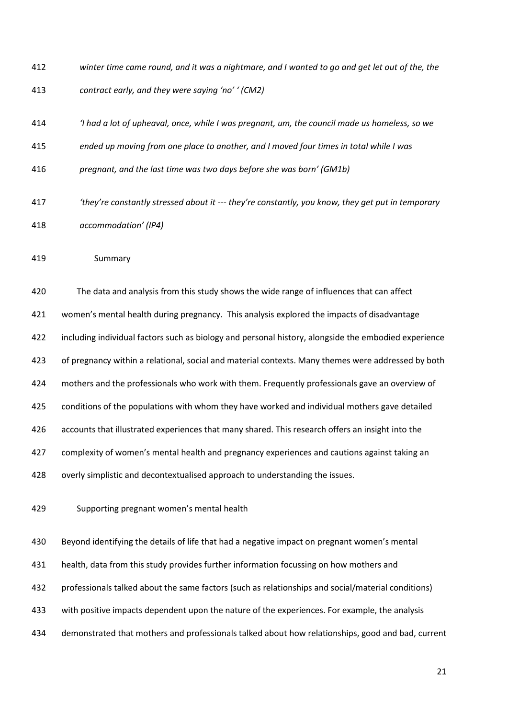- *winter time came round, and it was a nightmare, and I wanted to go and get let out of the, the*
- *contract early, and they were saying 'no' ' (CM2)*
- *'I had a lot of upheaval, once, while I was pregnant, um, the council made us homeless, so we*
- *ended up moving from one place to another, and I moved four times in total while I was*
- *pregnant, and the last time was two days before she was born' (GM1b)*
- *'they're constantly stressed about it --- they're constantly, you know, they get put in temporary accommodation' (IP4)*
- Summary

 The data and analysis from this study shows the wide range of influences that can affect women's mental health during pregnancy. This analysis explored the impacts of disadvantage including individual factors such as biology and personal history, alongside the embodied experience of pregnancy within a relational, social and material contexts. Many themes were addressed by both mothers and the professionals who work with them. Frequently professionals gave an overview of conditions of the populations with whom they have worked and individual mothers gave detailed accounts that illustrated experiences that many shared. This research offers an insight into the complexity of women's mental health and pregnancy experiences and cautions against taking an overly simplistic and decontextualised approach to understanding the issues.

Supporting pregnant women's mental health

 Beyond identifying the details of life that had a negative impact on pregnant women's mental health, data from this study provides further information focussing on how mothers and professionals talked about the same factors (such as relationships and social/material conditions) with positive impacts dependent upon the nature of the experiences. For example, the analysis demonstrated that mothers and professionals talked about how relationships, good and bad, current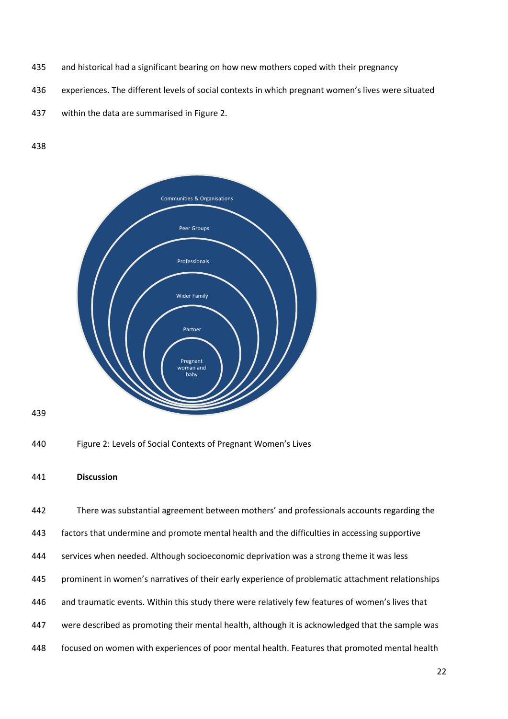- and historical had a significant bearing on how new mothers coped with their pregnancy
- experiences. The different levels of social contexts in which pregnant women's lives were situated
- within the data are summarised in Figure 2.

### 





```
441 Discussion
```
 There was substantial agreement between mothers' and professionals accounts regarding the factors that undermine and promote mental health and the difficulties in accessing supportive services when needed. Although socioeconomic deprivation was a strong theme it was less prominent in women's narratives of their early experience of problematic attachment relationships and traumatic events. Within this study there were relatively few features of women's lives that were described as promoting their mental health, although it is acknowledged that the sample was focused on women with experiences of poor mental health. Features that promoted mental health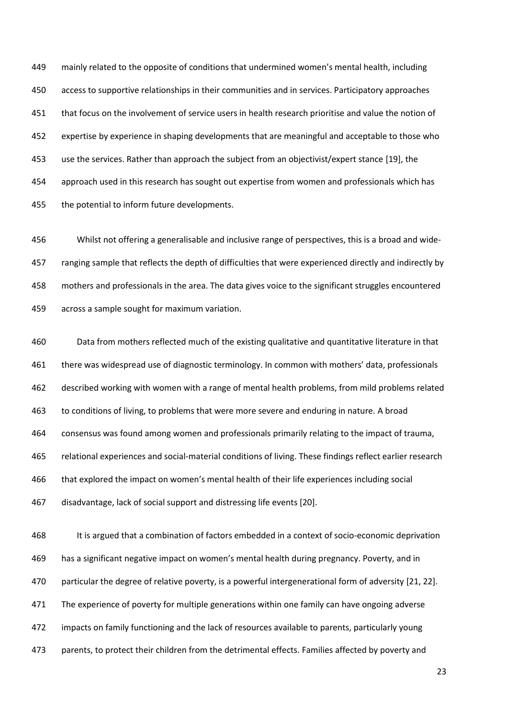mainly related to the opposite of conditions that undermined women's mental health, including access to supportive relationships in their communities and in services. Participatory approaches that focus on the involvement of service users in health research prioritise and value the notion of expertise by experience in shaping developments that are meaningful and acceptable to those who use the services. Rather than approach the subject from an objectivist/expert stance [19], the approach used in this research has sought out expertise from women and professionals which has the potential to inform future developments.

 Whilst not offering a generalisable and inclusive range of perspectives, this is a broad and wide- ranging sample that reflects the depth of difficulties that were experienced directly and indirectly by mothers and professionals in the area. The data gives voice to the significant struggles encountered across a sample sought for maximum variation.

 Data from mothers reflected much of the existing qualitative and quantitative literature in that 461 there was widespread use of diagnostic terminology. In common with mothers' data, professionals described working with women with a range of mental health problems, from mild problems related to conditions of living, to problems that were more severe and enduring in nature. A broad consensus was found among women and professionals primarily relating to the impact of trauma, relational experiences and social-material conditions of living. These findings reflect earlier research that explored the impact on women's mental health of their life experiences including social disadvantage, lack of social support and distressing life events [20].

 It is argued that a combination of factors embedded in a context of socio-economic deprivation has a significant negative impact on women's mental health during pregnancy. Poverty, and in particular the degree of relative poverty, is a powerful intergenerational form of adversity [21, 22]. 471 The experience of poverty for multiple generations within one family can have ongoing adverse impacts on family functioning and the lack of resources available to parents, particularly young parents, to protect their children from the detrimental effects. Families affected by poverty and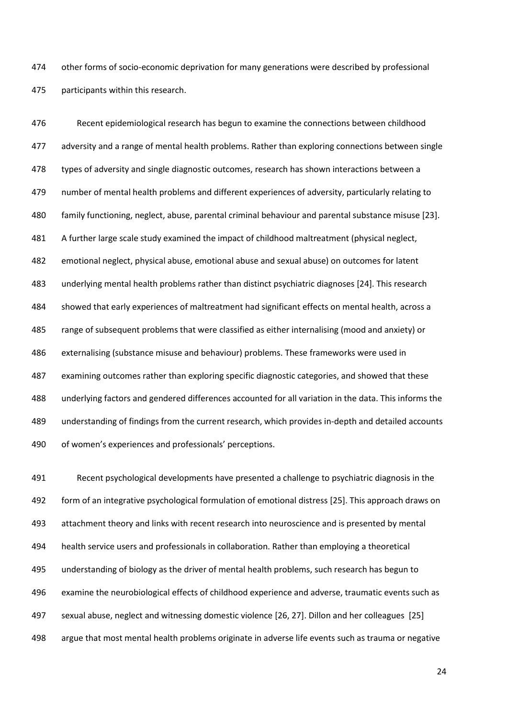other forms of socio-economic deprivation for many generations were described by professional participants within this research.

 Recent epidemiological research has begun to examine the connections between childhood adversity and a range of mental health problems. Rather than exploring connections between single 478 types of adversity and single diagnostic outcomes, research has shown interactions between a number of mental health problems and different experiences of adversity, particularly relating to family functioning, neglect, abuse, parental criminal behaviour and parental substance misuse [23]. A further large scale study examined the impact of childhood maltreatment (physical neglect, emotional neglect, physical abuse, emotional abuse and sexual abuse) on outcomes for latent underlying mental health problems rather than distinct psychiatric diagnoses [24]. This research showed that early experiences of maltreatment had significant effects on mental health, across a range of subsequent problems that were classified as either internalising (mood and anxiety) or externalising (substance misuse and behaviour) problems. These frameworks were used in examining outcomes rather than exploring specific diagnostic categories, and showed that these underlying factors and gendered differences accounted for all variation in the data. This informs the understanding of findings from the current research, which provides in-depth and detailed accounts of women's experiences and professionals' perceptions.

 Recent psychological developments have presented a challenge to psychiatric diagnosis in the form of an integrative psychological formulation of emotional distress [25]. This approach draws on attachment theory and links with recent research into neuroscience and is presented by mental health service users and professionals in collaboration. Rather than employing a theoretical understanding of biology as the driver of mental health problems, such research has begun to examine the neurobiological effects of childhood experience and adverse, traumatic events such as sexual abuse, neglect and witnessing domestic violence [26, 27]. Dillon and her colleagues [25] argue that most mental health problems originate in adverse life events such as trauma or negative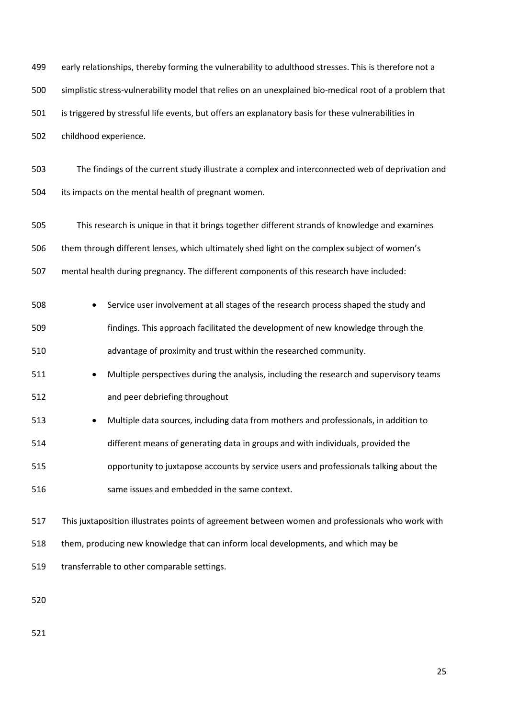early relationships, thereby forming the vulnerability to adulthood stresses. This is therefore not a simplistic stress-vulnerability model that relies on an unexplained bio-medical root of a problem that is triggered by stressful life events, but offers an explanatory basis for these vulnerabilities in childhood experience.

 The findings of the current study illustrate a complex and interconnected web of deprivation and its impacts on the mental health of pregnant women.

 This research is unique in that it brings together different strands of knowledge and examines them through different lenses, which ultimately shed light on the complex subject of women's mental health during pregnancy. The different components of this research have included:

 Service user involvement at all stages of the research process shaped the study and findings. This approach facilitated the development of new knowledge through the advantage of proximity and trust within the researched community.

511 • Multiple perspectives during the analysis, including the research and supervisory teams and peer debriefing throughout

 Multiple data sources, including data from mothers and professionals, in addition to different means of generating data in groups and with individuals, provided the opportunity to juxtapose accounts by service users and professionals talking about the same issues and embedded in the same context.

 This juxtaposition illustrates points of agreement between women and professionals who work with them, producing new knowledge that can inform local developments, and which may be transferrable to other comparable settings.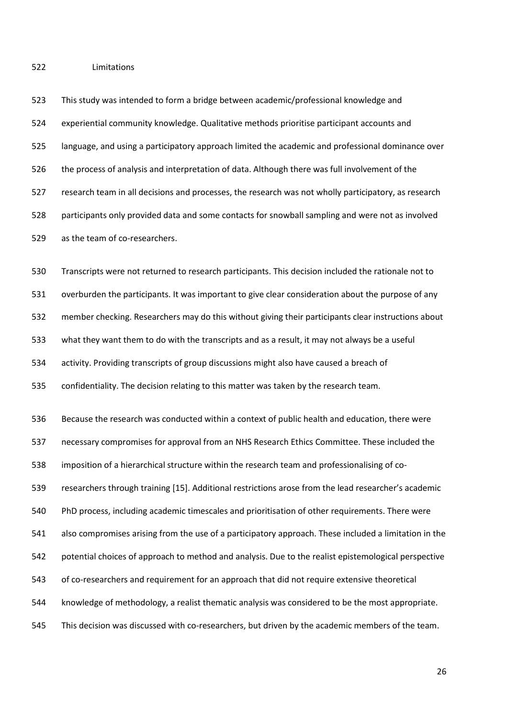Limitations

 This study was intended to form a bridge between academic/professional knowledge and experiential community knowledge. Qualitative methods prioritise participant accounts and language, and using a participatory approach limited the academic and professional dominance over the process of analysis and interpretation of data. Although there was full involvement of the research team in all decisions and processes, the research was not wholly participatory, as research participants only provided data and some contacts for snowball sampling and were not as involved as the team of co-researchers.

 Transcripts were not returned to research participants. This decision included the rationale not to overburden the participants. It was important to give clear consideration about the purpose of any member checking. Researchers may do this without giving their participants clear instructions about what they want them to do with the transcripts and as a result, it may not always be a useful activity. Providing transcripts of group discussions might also have caused a breach of confidentiality. The decision relating to this matter was taken by the research team.

 Because the research was conducted within a context of public health and education, there were necessary compromises for approval from an NHS Research Ethics Committee. These included the imposition of a hierarchical structure within the research team and professionalising of co- researchers through training [15]. Additional restrictions arose from the lead researcher's academic PhD process, including academic timescales and prioritisation of other requirements. There were also compromises arising from the use of a participatory approach. These included a limitation in the potential choices of approach to method and analysis. Due to the realist epistemological perspective of co-researchers and requirement for an approach that did not require extensive theoretical knowledge of methodology, a realist thematic analysis was considered to be the most appropriate. This decision was discussed with co-researchers, but driven by the academic members of the team.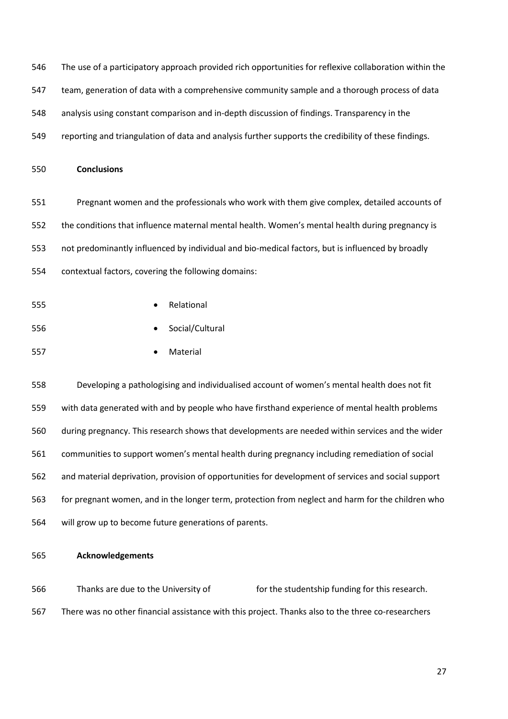- The use of a participatory approach provided rich opportunities for reflexive collaboration within the
- team, generation of data with a comprehensive community sample and a thorough process of data
- analysis using constant comparison and in-depth discussion of findings. Transparency in the
- reporting and triangulation of data and analysis further supports the credibility of these findings.

# **Conclusions**

 Pregnant women and the professionals who work with them give complex, detailed accounts of the conditions that influence maternal mental health. Women's mental health during pregnancy is not predominantly influenced by individual and bio-medical factors, but is influenced by broadly contextual factors, covering the following domains:

- Relational
- Social/Cultural
- 557 Material

 Developing a pathologising and individualised account of women's mental health does not fit with data generated with and by people who have firsthand experience of mental health problems during pregnancy. This research shows that developments are needed within services and the wider communities to support women's mental health during pregnancy including remediation of social and material deprivation, provision of opportunities for development of services and social support for pregnant women, and in the longer term, protection from neglect and harm for the children who will grow up to become future generations of parents.

**Acknowledgements**

566 Thanks are due to the University of The Studentship funding for this research. There was no other financial assistance with this project. Thanks also to the three co-researchers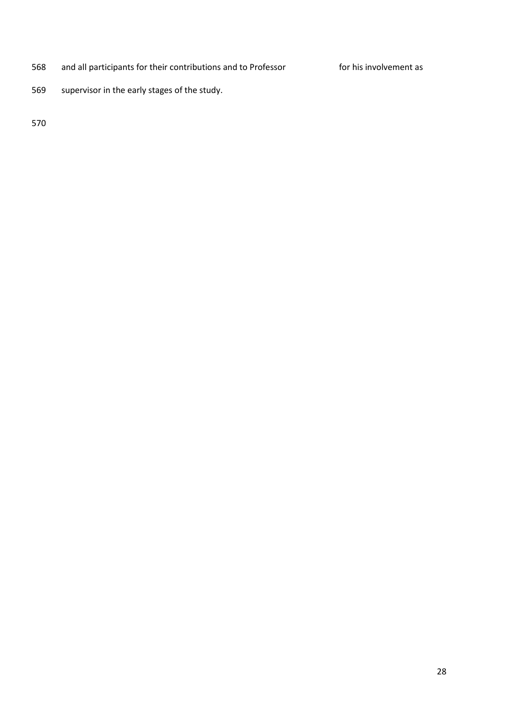568 and all participants for their contributions and to Professor **Fray for his involvement as** 

supervisor in the early stages of the study.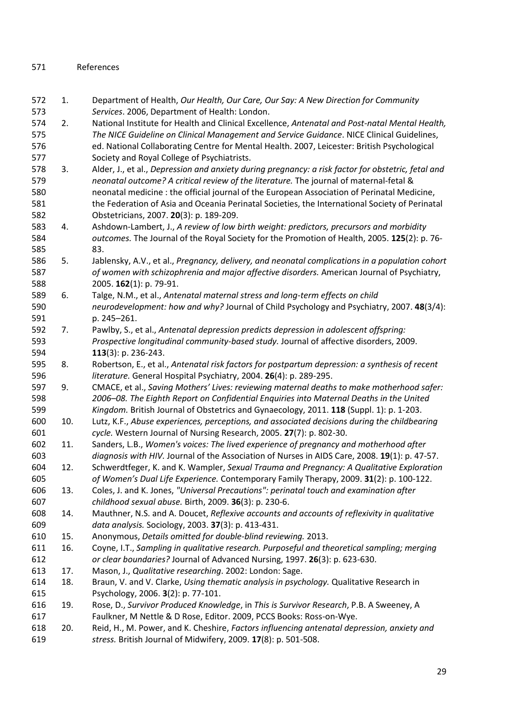# References

- 1. Department of Health, *Our Health, Our Care, Our Say: A New Direction for Community Services*. 2006, Department of Health: London.
- 2. National Institute for Health and Clinical Excellence, *Antenatal and Post-natal Mental Health, The NICE Guideline on Clinical Management and Service Guidance*. NICE Clinical Guidelines, ed. National Collaborating Centre for Mental Health. 2007, Leicester: British Psychological Society and Royal College of Psychiatrists.
- 3. Alder, J., et al., *Depression and anxiety during pregnancy: a risk factor for obstetric, fetal and neonatal outcome? A critical review of the literature.* The journal of maternal-fetal & neonatal medicine : the official journal of the European Association of Perinatal Medicine, the Federation of Asia and Oceania Perinatal Societies, the International Society of Perinatal Obstetricians, 2007. **20**(3): p. 189-209.
- 4. Ashdown-Lambert, J., *A review of low birth weight: predictors, precursors and morbidity outcomes.* The Journal of the Royal Society for the Promotion of Health, 2005. **125**(2): p. 76- 83.
- 5. Jablensky, A.V., et al., *Pregnancy, delivery, and neonatal complications in a population cohort of women with schizophrenia and major affective disorders.* American Journal of Psychiatry, 2005. **162**(1): p. 79-91.
- 6. Talge, N.M., et al., *Antenatal maternal stress and long-term effects on child neurodevelopment: how and why?* Journal of Child Psychology and Psychiatry, 2007. **48**(3/4): p. 245–261.
- 7. Pawlby, S., et al., *Antenatal depression predicts depression in adolescent offspring: Prospective longitudinal community-based study.* Journal of affective disorders, 2009. **113**(3): p. 236-243.
- 8. Robertson, E., et al., *Antenatal risk factors for postpartum depression: a synthesis of recent literature.* General Hospital Psychiatry, 2004. **26**(4): p. 289-295.
- 9. CMACE, et al., *Saving Mothers' Lives: reviewing maternal deaths to make motherhood safer: 2006–08. The Eighth Report on Confidential Enquiries into Maternal Deaths in the United Kingdom.* British Journal of Obstetrics and Gynaecology, 2011. **118** (Suppl. 1): p. 1-203.
- 10. Lutz, K.F., *Abuse experiences, perceptions, and associated decisions during the childbearing cycle.* Western Journal of Nursing Research, 2005. **27**(7): p. 802-30.
- 11. Sanders, L.B., *Women's voices: The lived experience of pregnancy and motherhood after diagnosis with HIV.* Journal of the Association of Nurses in AIDS Care, 2008. **19**(1): p. 47-57.
- 12. Schwerdtfeger, K. and K. Wampler, *Sexual Trauma and Pregnancy: A Qualitative Exploration of Women's Dual Life Experience.* Contemporary Family Therapy, 2009. **31**(2): p. 100-122.
- 13. Coles, J. and K. Jones, *"Universal Precautions": perinatal touch and examination after childhood sexual abuse.* Birth, 2009. **36**(3): p. 230-6.
- 14. Mauthner, N.S. and A. Doucet, *Reflexive accounts and accounts of reflexivity in qualitative data analysis.* Sociology, 2003. **37**(3): p. 413-431.
- 15. Anonymous, *Details omitted for double-blind reviewing.* 2013.
- 16. Coyne, I.T., *Sampling in qualitative research. Purposeful and theoretical sampling; merging or clear boundaries?* Journal of Advanced Nursing, 1997. **26**(3): p. 623-630.
- 17. Mason, J., *Qualitative researching*. 2002: London: Sage.
- 18. Braun, V. and V. Clarke, *Using thematic analysis in psychology.* Qualitative Research in Psychology, 2006. **3**(2): p. 77-101.
- 19. Rose, D., *Survivor Produced Knowledge*, in *This is Survivor Research*, P.B. A Sweeney, A Faulkner, M Nettle & D Rose, Editor. 2009, PCCS Books: Ross-on-Wye.
- 20. Reid, H., M. Power, and K. Cheshire, *Factors influencing antenatal depression, anxiety and stress.* British Journal of Midwifery, 2009. **17**(8): p. 501-508.